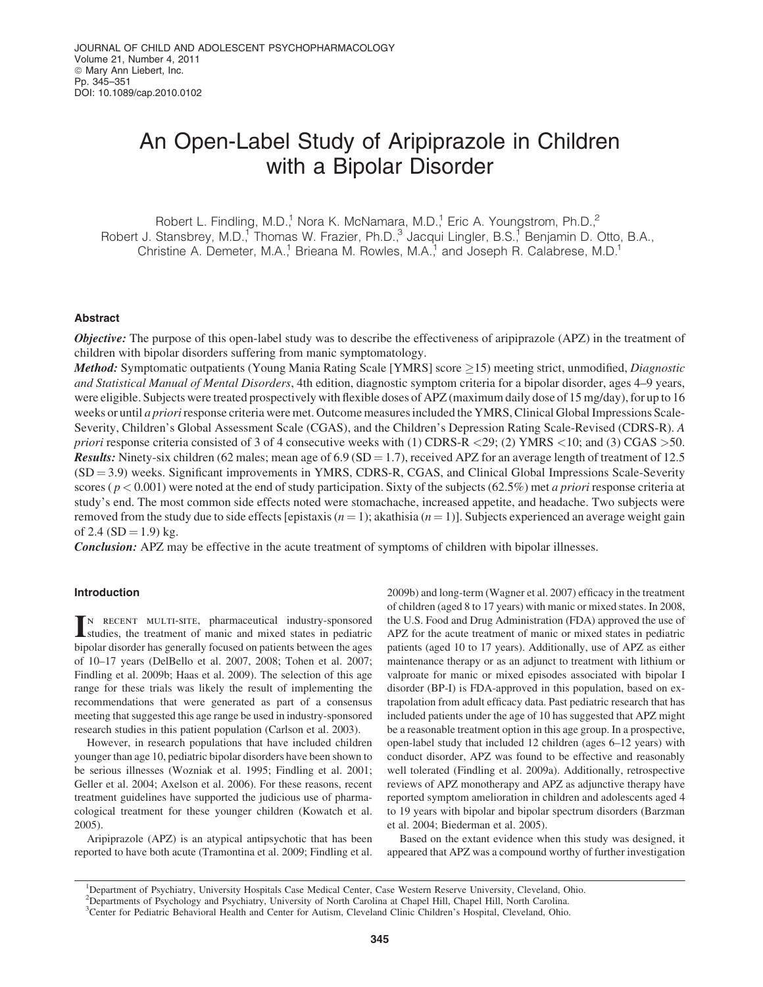# An Open-Label Study of Aripiprazole in Children with a Bipolar Disorder

Robert L. Findling, M.D.,<sup>1</sup> Nora K. McNamara, M.D.,<sup>1</sup> Eric A. Youngstrom, Ph.D.,<sup>2</sup> Robert J. Stansbrey, M.D.,<sup>1</sup> Thomas W. Frazier, Ph.D.,<sup>3</sup> Jacqui Lingler, B.S.,<sup>1</sup> Benjamin D. Otto, B.A., Christine A. Demeter, M.A.,<sup>1</sup> Brieana M. Rowles, M.A.,<sup>1</sup> and Joseph R. Calabrese, M.D.<sup>1</sup>

# Abstract

**Objective:** The purpose of this open-label study was to describe the effectiveness of aripiprazole (APZ) in the treatment of children with bipolar disorders suffering from manic symptomatology.

**Method:** Symptomatic outpatients (Young Mania Rating Scale [YMRS] score  $\geq$ 15) meeting strict, unmodified, *Diagnostic* and Statistical Manual of Mental Disorders, 4th edition, diagnostic symptom criteria for a bipolar disorder, ages 4–9 years, were eligible. Subjects were treated prospectively with flexible doses of APZ (maximum daily dose of 15 mg/day), for up to 16 weeks or until *a priori* response criteria were met. Outcome measures included the YMRS, Clinical Global Impressions Scale-Severity, Children's Global Assessment Scale (CGAS), and the Children's Depression Rating Scale-Revised (CDRS-R). A priori response criteria consisted of 3 of 4 consecutive weeks with (1) CDRS-R  $\langle 29, (2)$  YMRS  $\langle 10, (3)$  CGAS  $>$  50. **Results:** Ninety-six children (62 males; mean age of 6.9 (SD = 1.7), received APZ for an average length of treatment of 12.5  $(SD = 3.9)$  weeks. Significant improvements in YMRS, CDRS-R, CGAS, and Clinical Global Impressions Scale-Severity scores ( $p < 0.001$ ) were noted at the end of study participation. Sixty of the subjects (62.5%) met *a priori* response criteria at study's end. The most common side effects noted were stomachache, increased appetite, and headache. Two subjects were removed from the study due to side effects [epistaxis  $(n = 1)$ ; akathisia  $(n = 1)$ ]. Subjects experienced an average weight gain of 2.4 ( $SD = 1.9$ ) kg.

**Conclusion:** APZ may be effective in the acute treatment of symptoms of children with bipolar illnesses.

# Introduction

IN RECENT MULTI-SITE, pharmaceutical industry-sponsored studies, the treatment of manic and mixed states in pediatric n recent multi-site, pharmaceutical industry-sponsored bipolar disorder has generally focused on patients between the ages of 10–17 years (DelBello et al. 2007, 2008; Tohen et al. 2007; Findling et al. 2009b; Haas et al. 2009). The selection of this age range for these trials was likely the result of implementing the recommendations that were generated as part of a consensus meeting that suggested this age range be used in industry-sponsored research studies in this patient population (Carlson et al. 2003).

However, in research populations that have included children younger than age 10, pediatric bipolar disorders have been shown to be serious illnesses (Wozniak et al. 1995; Findling et al. 2001; Geller et al. 2004; Axelson et al. 2006). For these reasons, recent treatment guidelines have supported the judicious use of pharmacological treatment for these younger children (Kowatch et al. 2005).

Aripiprazole (APZ) is an atypical antipsychotic that has been reported to have both acute (Tramontina et al. 2009; Findling et al. 2009b) and long-term (Wagner et al. 2007) efficacy in the treatment of children (aged 8 to 17 years) with manic or mixed states. In 2008, the U.S. Food and Drug Administration (FDA) approved the use of APZ for the acute treatment of manic or mixed states in pediatric patients (aged 10 to 17 years). Additionally, use of APZ as either maintenance therapy or as an adjunct to treatment with lithium or valproate for manic or mixed episodes associated with bipolar I disorder (BP-I) is FDA-approved in this population, based on extrapolation from adult efficacy data. Past pediatric research that has included patients under the age of 10 has suggested that APZ might be a reasonable treatment option in this age group. In a prospective, open-label study that included 12 children (ages 6–12 years) with conduct disorder, APZ was found to be effective and reasonably well tolerated (Findling et al. 2009a). Additionally, retrospective reviews of APZ monotherapy and APZ as adjunctive therapy have reported symptom amelioration in children and adolescents aged 4 to 19 years with bipolar and bipolar spectrum disorders (Barzman et al. 2004; Biederman et al. 2005).

Based on the extant evidence when this study was designed, it appeared that APZ was a compound worthy of further investigation

<sup>&</sup>lt;sup>1</sup>Department of Psychiatry, University Hospitals Case Medical Center, Case Western Reserve University, Cleveland, Ohio. 2 Departments of Psychology and Psychiatry, University of North Carolina at Chapel Hill, Chapel Hill, North Carolina.

<sup>3</sup> Center for Pediatric Behavioral Health and Center for Autism, Cleveland Clinic Children's Hospital, Cleveland, Ohio.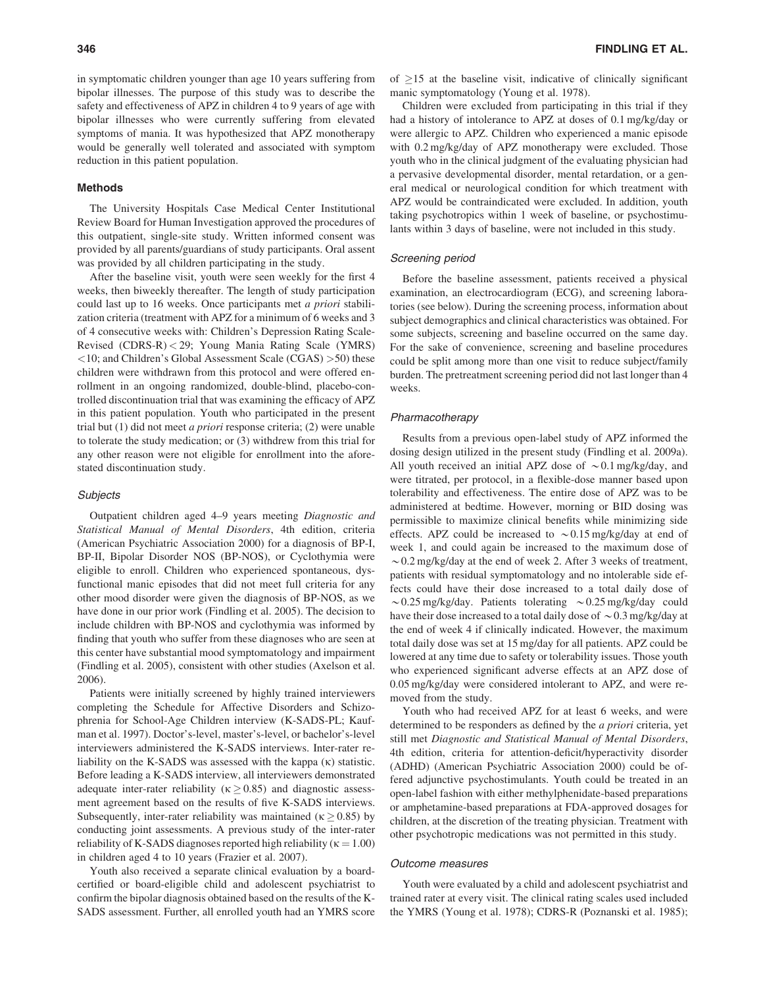in symptomatic children younger than age 10 years suffering from bipolar illnesses. The purpose of this study was to describe the safety and effectiveness of APZ in children 4 to 9 years of age with bipolar illnesses who were currently suffering from elevated symptoms of mania. It was hypothesized that APZ monotherapy would be generally well tolerated and associated with symptom reduction in this patient population.

### Methods

The University Hospitals Case Medical Center Institutional Review Board for Human Investigation approved the procedures of this outpatient, single-site study. Written informed consent was provided by all parents/guardians of study participants. Oral assent was provided by all children participating in the study.

After the baseline visit, youth were seen weekly for the first 4 weeks, then biweekly thereafter. The length of study participation could last up to 16 weeks. Once participants met a priori stabilization criteria (treatment with APZ for a minimum of 6 weeks and 3 of 4 consecutive weeks with: Children's Depression Rating Scale-Revised (CDRS-R) < 29; Young Mania Rating Scale (YMRS) <10; and Children's Global Assessment Scale (CGAS) >50) these children were withdrawn from this protocol and were offered enrollment in an ongoing randomized, double-blind, placebo-controlled discontinuation trial that was examining the efficacy of APZ in this patient population. Youth who participated in the present trial but (1) did not meet a priori response criteria; (2) were unable to tolerate the study medication; or (3) withdrew from this trial for any other reason were not eligible for enrollment into the aforestated discontinuation study.

## **Subjects**

Outpatient children aged 4–9 years meeting Diagnostic and Statistical Manual of Mental Disorders, 4th edition, criteria (American Psychiatric Association 2000) for a diagnosis of BP-I, BP-II, Bipolar Disorder NOS (BP-NOS), or Cyclothymia were eligible to enroll. Children who experienced spontaneous, dysfunctional manic episodes that did not meet full criteria for any other mood disorder were given the diagnosis of BP-NOS, as we have done in our prior work (Findling et al. 2005). The decision to include children with BP-NOS and cyclothymia was informed by finding that youth who suffer from these diagnoses who are seen at this center have substantial mood symptomatology and impairment (Findling et al. 2005), consistent with other studies (Axelson et al. 2006).

Patients were initially screened by highly trained interviewers completing the Schedule for Affective Disorders and Schizophrenia for School-Age Children interview (K-SADS-PL; Kaufman et al. 1997). Doctor's-level, master's-level, or bachelor's-level interviewers administered the K-SADS interviews. Inter-rater reliability on the K-SADS was assessed with the kappa (k) statistic. Before leading a K-SADS interview, all interviewers demonstrated adequate inter-rater reliability ( $\kappa \ge 0.85$ ) and diagnostic assessment agreement based on the results of five K-SADS interviews. Subsequently, inter-rater reliability was maintained ( $\kappa \ge 0.85$ ) by conducting joint assessments. A previous study of the inter-rater reliability of K-SADS diagnoses reported high reliability ( $\kappa = 1.00$ ) in children aged 4 to 10 years (Frazier et al. 2007).

Youth also received a separate clinical evaluation by a boardcertified or board-eligible child and adolescent psychiatrist to confirm the bipolar diagnosis obtained based on the results of the K-SADS assessment. Further, all enrolled youth had an YMRS score

of  $\geq$ 15 at the baseline visit, indicative of clinically significant manic symptomatology (Young et al. 1978).

Children were excluded from participating in this trial if they had a history of intolerance to APZ at doses of 0.1 mg/kg/day or were allergic to APZ. Children who experienced a manic episode with 0.2 mg/kg/day of APZ monotherapy were excluded. Those youth who in the clinical judgment of the evaluating physician had a pervasive developmental disorder, mental retardation, or a general medical or neurological condition for which treatment with APZ would be contraindicated were excluded. In addition, youth taking psychotropics within 1 week of baseline, or psychostimulants within 3 days of baseline, were not included in this study.

# Screening period

Before the baseline assessment, patients received a physical examination, an electrocardiogram (ECG), and screening laboratories (see below). During the screening process, information about subject demographics and clinical characteristics was obtained. For some subjects, screening and baseline occurred on the same day. For the sake of convenience, screening and baseline procedures could be split among more than one visit to reduce subject/family burden. The pretreatment screening period did not last longer than 4 weeks.

## Pharmacotherapy

Results from a previous open-label study of APZ informed the dosing design utilized in the present study (Findling et al. 2009a). All youth received an initial APZ dose of  $\sim 0.1$  mg/kg/day, and were titrated, per protocol, in a flexible-dose manner based upon tolerability and effectiveness. The entire dose of APZ was to be administered at bedtime. However, morning or BID dosing was permissible to maximize clinical benefits while minimizing side effects. APZ could be increased to  $\sim 0.15$  mg/kg/day at end of week 1, and could again be increased to the maximum dose of  $\sim$  0.2 mg/kg/day at the end of week 2. After 3 weeks of treatment, patients with residual symptomatology and no intolerable side effects could have their dose increased to a total daily dose of  $\sim$  0.25 mg/kg/day. Patients tolerating  $\sim$  0.25 mg/kg/day could have their dose increased to a total daily dose of  $\sim 0.3$  mg/kg/day at the end of week 4 if clinically indicated. However, the maximum total daily dose was set at 15 mg/day for all patients. APZ could be lowered at any time due to safety or tolerability issues. Those youth who experienced significant adverse effects at an APZ dose of 0.05 mg/kg/day were considered intolerant to APZ, and were removed from the study.

Youth who had received APZ for at least 6 weeks, and were determined to be responders as defined by the a priori criteria, yet still met Diagnostic and Statistical Manual of Mental Disorders, 4th edition, criteria for attention-deficit/hyperactivity disorder (ADHD) (American Psychiatric Association 2000) could be offered adjunctive psychostimulants. Youth could be treated in an open-label fashion with either methylphenidate-based preparations or amphetamine-based preparations at FDA-approved dosages for children, at the discretion of the treating physician. Treatment with other psychotropic medications was not permitted in this study.

## Outcome measures

Youth were evaluated by a child and adolescent psychiatrist and trained rater at every visit. The clinical rating scales used included the YMRS (Young et al. 1978); CDRS-R (Poznanski et al. 1985);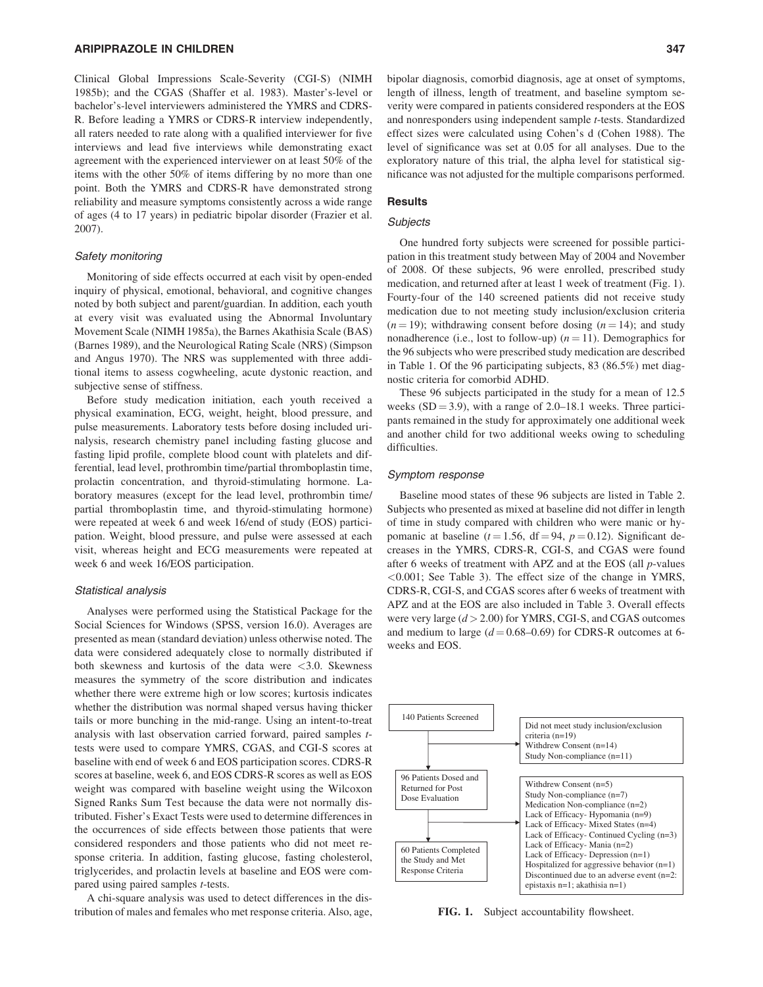# ARIPIPRAZOLE IN CHILDREN 347

Clinical Global Impressions Scale-Severity (CGI-S) (NIMH 1985b); and the CGAS (Shaffer et al. 1983). Master's-level or bachelor's-level interviewers administered the YMRS and CDRS-R. Before leading a YMRS or CDRS-R interview independently, all raters needed to rate along with a qualified interviewer for five interviews and lead five interviews while demonstrating exact agreement with the experienced interviewer on at least 50% of the items with the other 50% of items differing by no more than one point. Both the YMRS and CDRS-R have demonstrated strong reliability and measure symptoms consistently across a wide range of ages (4 to 17 years) in pediatric bipolar disorder (Frazier et al. 2007).

## Safety monitoring

Monitoring of side effects occurred at each visit by open-ended inquiry of physical, emotional, behavioral, and cognitive changes noted by both subject and parent/guardian. In addition, each youth at every visit was evaluated using the Abnormal Involuntary Movement Scale (NIMH 1985a), the Barnes Akathisia Scale (BAS) (Barnes 1989), and the Neurological Rating Scale (NRS) (Simpson and Angus 1970). The NRS was supplemented with three additional items to assess cogwheeling, acute dystonic reaction, and subjective sense of stiffness.

Before study medication initiation, each youth received a physical examination, ECG, weight, height, blood pressure, and pulse measurements. Laboratory tests before dosing included urinalysis, research chemistry panel including fasting glucose and fasting lipid profile, complete blood count with platelets and differential, lead level, prothrombin time/partial thromboplastin time, prolactin concentration, and thyroid-stimulating hormone. Laboratory measures (except for the lead level, prothrombin time/ partial thromboplastin time, and thyroid-stimulating hormone) were repeated at week 6 and week 16/end of study (EOS) participation. Weight, blood pressure, and pulse were assessed at each visit, whereas height and ECG measurements were repeated at week 6 and week 16/EOS participation.

## Statistical analysis

Analyses were performed using the Statistical Package for the Social Sciences for Windows (SPSS, version 16.0). Averages are presented as mean (standard deviation) unless otherwise noted. The data were considered adequately close to normally distributed if both skewness and kurtosis of the data were  $\langle 3.0$ . Skewness measures the symmetry of the score distribution and indicates whether there were extreme high or low scores; kurtosis indicates whether the distribution was normal shaped versus having thicker tails or more bunching in the mid-range. Using an intent-to-treat analysis with last observation carried forward, paired samples ttests were used to compare YMRS, CGAS, and CGI-S scores at baseline with end of week 6 and EOS participation scores. CDRS-R scores at baseline, week 6, and EOS CDRS-R scores as well as EOS weight was compared with baseline weight using the Wilcoxon Signed Ranks Sum Test because the data were not normally distributed. Fisher's Exact Tests were used to determine differences in the occurrences of side effects between those patients that were considered responders and those patients who did not meet response criteria. In addition, fasting glucose, fasting cholesterol, triglycerides, and prolactin levels at baseline and EOS were compared using paired samples *t*-tests.

A chi-square analysis was used to detect differences in the distribution of males and females who met response criteria. Also, age, bipolar diagnosis, comorbid diagnosis, age at onset of symptoms, length of illness, length of treatment, and baseline symptom severity were compared in patients considered responders at the EOS and nonresponders using independent sample t-tests. Standardized effect sizes were calculated using Cohen's d (Cohen 1988). The level of significance was set at 0.05 for all analyses. Due to the exploratory nature of this trial, the alpha level for statistical significance was not adjusted for the multiple comparisons performed.

# **Results**

# **Subjects**

One hundred forty subjects were screened for possible participation in this treatment study between May of 2004 and November of 2008. Of these subjects, 96 were enrolled, prescribed study medication, and returned after at least 1 week of treatment (Fig. 1). Fourty-four of the 140 screened patients did not receive study medication due to not meeting study inclusion/exclusion criteria  $(n = 19)$ ; withdrawing consent before dosing  $(n = 14)$ ; and study nonadherence (i.e., lost to follow-up)  $(n = 11)$ . Demographics for the 96 subjects who were prescribed study medication are described in Table 1. Of the 96 participating subjects, 83 (86.5%) met diagnostic criteria for comorbid ADHD.

These 96 subjects participated in the study for a mean of 12.5 weeks  $(SD = 3.9)$ , with a range of 2.0–18.1 weeks. Three participants remained in the study for approximately one additional week and another child for two additional weeks owing to scheduling difficulties.

## Symptom response

Baseline mood states of these 96 subjects are listed in Table 2. Subjects who presented as mixed at baseline did not differ in length of time in study compared with children who were manic or hypomanic at baseline ( $t = 1.56$ , df = 94,  $p = 0.12$ ). Significant decreases in the YMRS, CDRS-R, CGI-S, and CGAS were found after 6 weeks of treatment with APZ and at the EOS (all p-values <0.001; See Table 3). The effect size of the change in YMRS, CDRS-R, CGI-S, and CGAS scores after 6 weeks of treatment with APZ and at the EOS are also included in Table 3. Overall effects were very large  $(d > 2.00)$  for YMRS, CGI-S, and CGAS outcomes and medium to large  $(d = 0.68 - 0.69)$  for CDRS-R outcomes at 6weeks and EOS.



FIG. 1. Subject accountability flowsheet.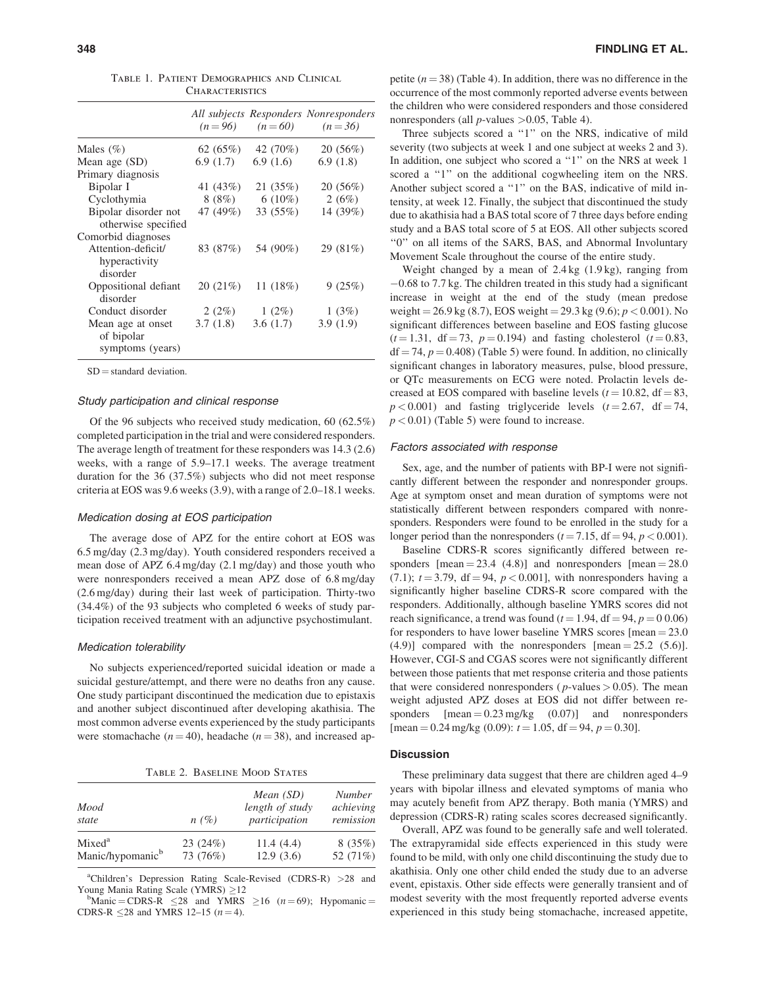|                                                     | $(n=96)$  | $(n=60)$   | All subjects Responders Nonresponders<br>$(n = 36)$ |
|-----------------------------------------------------|-----------|------------|-----------------------------------------------------|
| Males $(\%)$                                        | 62(65%)   | 42 (70%)   | 20(56%)                                             |
| Mean age (SD)                                       | 6.9(1.7)  | 6.9(1.6)   | 6.9(1.8)                                            |
| Primary diagnosis                                   |           |            |                                                     |
| Bipolar I                                           | 41 (43%)  | 21 (35%)   | 20(56%)                                             |
| Cyclothymia                                         | 8 (8%)    | $6(10\%)$  | 2(6%)                                               |
| Bipolar disorder not                                | 47 (49%)  | 33(55%)    | 14 (39%)                                            |
| otherwise specified                                 |           |            |                                                     |
| Comorbid diagnoses                                  |           |            |                                                     |
| Attention-deficit/<br>hyperactivity<br>disorder     | 83 (87%)  | 54 (90%)   | 29 (81%)                                            |
| Oppositional defiant<br>disorder                    | 20 (21\%) | 11 $(18%)$ | 9(25%)                                              |
| Conduct disorder                                    | 2(2%)     | $1(2\%)$   | 1(3%)                                               |
| Mean age at onset<br>of bipolar<br>symptoms (years) | 3.7(1.8)  | 3.6(1.7)   | 3.9(1.9)                                            |

Table 1. Patient Demographics and Clinical **CHARACTERISTICS** 

 $SD =$  standard deviation.

#### Study participation and clinical response

Of the 96 subjects who received study medication, 60 (62.5%) completed participation in the trial and were considered responders. The average length of treatment for these responders was 14.3 (2.6) weeks, with a range of 5.9–17.1 weeks. The average treatment duration for the 36 (37.5%) subjects who did not meet response criteria at EOS was 9.6 weeks (3.9), with a range of 2.0–18.1 weeks.

# Medication dosing at EOS participation

The average dose of APZ for the entire cohort at EOS was 6.5 mg/day (2.3 mg/day). Youth considered responders received a mean dose of APZ 6.4 mg/day (2.1 mg/day) and those youth who were nonresponders received a mean APZ dose of 6.8 mg/day (2.6 mg/day) during their last week of participation. Thirty-two (34.4%) of the 93 subjects who completed 6 weeks of study participation received treatment with an adjunctive psychostimulant.

#### Medication tolerability

No subjects experienced/reported suicidal ideation or made a suicidal gesture/attempt, and there were no deaths fron any cause. One study participant discontinued the medication due to epistaxis and another subject discontinued after developing akathisia. The most common adverse events experienced by the study participants were stomachache ( $n = 40$ ), headache ( $n = 38$ ), and increased ap-

Table 2. Baseline Mood States

| Mood<br>state                | n(%)     | Mean $(SD)$<br>length of study<br>participation | <b>Number</b><br>achieving<br>remission |
|------------------------------|----------|-------------------------------------------------|-----------------------------------------|
| Mixed <sup>a</sup>           | 23(24%)  | 11.4(4.4)                                       | 8(35%)                                  |
| Manic/hypomanic <sup>b</sup> | 73 (76%) | 12.9(3.6)                                       | 52 (71%)                                |

<sup>a</sup>Children's Depression Rating Scale-Revised (CDRS-R) > 28 and Young Mania Rating Scale (YMRS)  $\geq$  12<br>bManic = CDPS P < 28 and VMPS

Manic = CDRS-R  $\leq 28$  and YMRS  $\geq 16$  (*n* = 69); Hypomanic = CDRS-R  $\leq$ 28 and YMRS 12–15 (*n* = 4).

petite  $(n = 38)$  (Table 4). In addition, there was no difference in the occurrence of the most commonly reported adverse events between the children who were considered responders and those considered nonresponders (all  $p$ -values  $>0.05$ , Table 4).

Three subjects scored a "1" on the NRS, indicative of mild severity (two subjects at week 1 and one subject at weeks 2 and 3). In addition, one subject who scored a "1" on the NRS at week 1 scored a "1" on the additional cogwheeling item on the NRS. Another subject scored a ''1'' on the BAS, indicative of mild intensity, at week 12. Finally, the subject that discontinued the study due to akathisia had a BAS total score of 7 three days before ending study and a BAS total score of 5 at EOS. All other subjects scored ''0'' on all items of the SARS, BAS, and Abnormal Involuntary Movement Scale throughout the course of the entire study.

Weight changed by a mean of 2.4 kg (1.9 kg), ranging from  $-0.68$  to 7.7 kg. The children treated in this study had a significant increase in weight at the end of the study (mean predose weight =  $26.9 \text{ kg}$  (8.7), EOS weight =  $29.3 \text{ kg}$  (9.6);  $p < 0.001$ ). No significant differences between baseline and EOS fasting glucose  $(t = 1.31, df = 73, p = 0.194)$  and fasting cholesterol  $(t = 0.83,$  $df = 74$ ,  $p = 0.408$ ) (Table 5) were found. In addition, no clinically significant changes in laboratory measures, pulse, blood pressure, or QTc measurements on ECG were noted. Prolactin levels decreased at EOS compared with baseline levels ( $t = 10.82$ , df = 83,  $p < 0.001$ ) and fasting triglyceride levels ( $t = 2.67$ , df = 74,  $p < 0.01$ ) (Table 5) were found to increase.

### Factors associated with response

Sex, age, and the number of patients with BP-I were not significantly different between the responder and nonresponder groups. Age at symptom onset and mean duration of symptoms were not statistically different between responders compared with nonresponders. Responders were found to be enrolled in the study for a longer period than the nonresponders ( $t = 7.15$ , df = 94,  $p < 0.001$ ).

Baseline CDRS-R scores significantly differed between responders  $[mean = 23.4 (4.8)]$  and nonresponders  $[mean = 28.0]$  $(7.1)$ ;  $t = 3.79$ , df = 94,  $p < 0.001$ ], with nonresponders having a significantly higher baseline CDRS-R score compared with the responders. Additionally, although baseline YMRS scores did not reach significance, a trend was found ( $t = 1.94$ , df = 94,  $p = 0.06$ ) for responders to have lower baseline YMRS scores  $[mean = 23.0]$  $(4.9)$ ] compared with the nonresponders [mean = 25.2 (5.6)]. However, CGI-S and CGAS scores were not significantly different between those patients that met response criteria and those patients that were considered nonresponders ( $p$ -values  $> 0.05$ ). The mean weight adjusted APZ doses at EOS did not differ between responders  $[mean = 0.23 \text{ mg/kg} \quad (0.07)]$  and nonresponders [mean = 0.24 mg/kg (0.09):  $t = 1.05$ , df = 94,  $p = 0.30$ ].

#### **Discussion**

These preliminary data suggest that there are children aged 4–9 years with bipolar illness and elevated symptoms of mania who may acutely benefit from APZ therapy. Both mania (YMRS) and depression (CDRS-R) rating scales scores decreased significantly.

Overall, APZ was found to be generally safe and well tolerated. The extrapyramidal side effects experienced in this study were found to be mild, with only one child discontinuing the study due to akathisia. Only one other child ended the study due to an adverse event, epistaxis. Other side effects were generally transient and of modest severity with the most frequently reported adverse events experienced in this study being stomachache, increased appetite,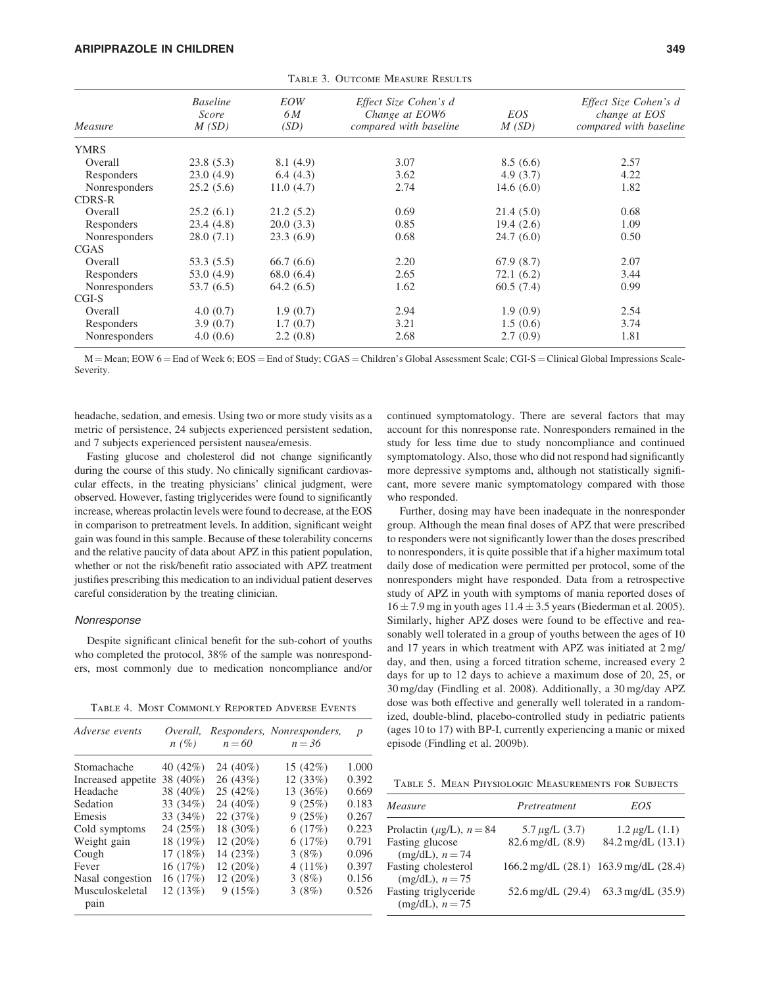| Measure       | <b>Baseline</b><br>Score<br>M(SD) | EOW<br>6 M<br>(SD) | Effect Size Cohen's d<br>Change at EOW6<br>compared with baseline | EOS<br>M(SD) | Effect Size Cohen's d<br>change at EOS<br>compared with baseline |
|---------------|-----------------------------------|--------------------|-------------------------------------------------------------------|--------------|------------------------------------------------------------------|
| <b>YMRS</b>   |                                   |                    |                                                                   |              |                                                                  |
| Overall       | 23.8(5.3)                         | 8.1(4.9)           | 3.07                                                              | 8.5(6.6)     | 2.57                                                             |
| Responders    | 23.0(4.9)                         | 6.4(4.3)           | 3.62                                                              | 4.9(3.7)     | 4.22                                                             |
| Nonresponders | 25.2(5.6)                         | 11.0(4.7)          | 2.74                                                              | 14.6 $(6.0)$ | 1.82                                                             |
| <b>CDRS-R</b> |                                   |                    |                                                                   |              |                                                                  |
| Overall       | 25.2(6.1)                         | 21.2(5.2)          | 0.69                                                              | 21.4(5.0)    | 0.68                                                             |
| Responders    | 23.4(4.8)                         | 20.0(3.3)          | 0.85                                                              | 19.4(2.6)    | 1.09                                                             |
| Nonresponders | 28.0(7.1)                         | 23.3(6.9)          | 0.68                                                              | 24.7(6.0)    | 0.50                                                             |
| <b>CGAS</b>   |                                   |                    |                                                                   |              |                                                                  |
| Overall       | 53.3(5.5)                         | 66.7(6.6)          | 2.20                                                              | 67.9(8.7)    | 2.07                                                             |
| Responders    | 53.0(4.9)                         | 68.0(6.4)          | 2.65                                                              | 72.1(6.2)    | 3.44                                                             |
| Nonresponders | 53.7 (6.5)                        | 64.2(6.5)          | 1.62                                                              | 60.5(7.4)    | 0.99                                                             |
| $CGI-S$       |                                   |                    |                                                                   |              |                                                                  |
| Overall       | 4.0(0.7)                          | 1.9(0.7)           | 2.94                                                              | 1.9(0.9)     | 2.54                                                             |
| Responders    | 3.9(0.7)                          | 1.7(0.7)           | 3.21                                                              | 1.5(0.6)     | 3.74                                                             |
| Nonresponders | 4.0(0.6)                          | 2.2(0.8)           | 2.68                                                              | 2.7(0.9)     | 1.81                                                             |

TABLE 3. OUTCOME MEASURE RESULTS

 $M =$ Mean; EOW  $6 =$  End of Week 6; EOS  $=$  End of Study; CGAS  $=$  Children's Global Assessment Scale; CGI-S  $=$  Clinical Global Impressions Scale-Severity.

headache, sedation, and emesis. Using two or more study visits as a metric of persistence, 24 subjects experienced persistent sedation, and 7 subjects experienced persistent nausea/emesis.

Fasting glucose and cholesterol did not change significantly during the course of this study. No clinically significant cardiovascular effects, in the treating physicians' clinical judgment, were observed. However, fasting triglycerides were found to significantly increase, whereas prolactin levels were found to decrease, at the EOS in comparison to pretreatment levels. In addition, significant weight gain was found in this sample. Because of these tolerability concerns and the relative paucity of data about APZ in this patient population, whether or not the risk/benefit ratio associated with APZ treatment justifies prescribing this medication to an individual patient deserves careful consideration by the treating clinician.

#### Nonresponse

Despite significant clinical benefit for the sub-cohort of youths who completed the protocol, 38% of the sample was nonresponders, most commonly due to medication noncompliance and/or

Table 4. Most Commonly Reported Adverse Events

| Adverse events          | Overall,<br>$n(\%)$ | $n = 60$   | Responders, Nonresponders,<br>$n = 36$ | $\boldsymbol{p}$ |
|-------------------------|---------------------|------------|----------------------------------------|------------------|
| Stomachache             | 40 (42%)            | 24 (40%)   | 15(42%)                                | 1.000            |
| Increased appetite      | 38 (40%)            | 26 (43%)   | 12(33%)                                | 0.392            |
| Headache                | 38 (40%)            | 25(42%)    | 13 (36%)                               | 0.669            |
| Sedation                | 33 (34%)            | 24 (40%)   | 9(25%)                                 | 0.183            |
| Emesis                  | $33(34\%)$          | 22 (37%)   | 9(25%)                                 | 0.267            |
| Cold symptoms           | 24 (25%)            | 18 (30%)   | 6(17%)                                 | 0.223            |
| Weight gain             | 18 (19%)            | $12(20\%)$ | 6(17%)                                 | 0.791            |
| Cough                   | 17(18%)             | 14(23%)    | 3(8%)                                  | 0.096            |
| Fever                   | 16(17%)             | $12(20\%)$ | 4 $(11\%)$                             | 0.397            |
| Nasal congestion        | 16(17%)             | 12(20%)    | 3(8%)                                  | 0.156            |
| Musculoskeletal<br>pain | 12 (13%)            | 9(15%)     | 3(8%)                                  | 0.526            |

continued symptomatology. There are several factors that may account for this nonresponse rate. Nonresponders remained in the study for less time due to study noncompliance and continued symptomatology. Also, those who did not respond had significantly more depressive symptoms and, although not statistically significant, more severe manic symptomatology compared with those who responded.

Further, dosing may have been inadequate in the nonresponder group. Although the mean final doses of APZ that were prescribed to responders were not significantly lower than the doses prescribed to nonresponders, it is quite possible that if a higher maximum total daily dose of medication were permitted per protocol, some of the nonresponders might have responded. Data from a retrospective study of APZ in youth with symptoms of mania reported doses of  $16 \pm 7.9$  mg in youth ages  $11.4 \pm 3.5$  years (Biederman et al. 2005). Similarly, higher APZ doses were found to be effective and reasonably well tolerated in a group of youths between the ages of 10 and 17 years in which treatment with APZ was initiated at 2 mg/ day, and then, using a forced titration scheme, increased every 2 days for up to 12 days to achieve a maximum dose of 20, 25, or 30 mg/day (Findling et al. 2008). Additionally, a 30 mg/day APZ dose was both effective and generally well tolerated in a randomized, double-blind, placebo-controlled study in pediatric patients (ages 10 to 17) with BP-I, currently experiencing a manic or mixed episode (Findling et al. 2009b).

Table 5. Mean Physiologic Measurements for Subjects

| Measure                                     | Pretreatment                          | EOS                                           |
|---------------------------------------------|---------------------------------------|-----------------------------------------------|
| Prolactin ( $\mu$ g/L), $n = 84$            | 5.7 $\mu$ g/L (3.7)                   | $1.2 \mu g/L$ (1.1)                           |
| <b>Fasting glucose</b><br>$(mg/dL), n = 74$ | $82.6$ mg/dL $(8.9)$                  | 84.2 mg/dL (13.1)                             |
| Fasting cholesterol<br>$(mg/dL), n = 75$    | 166.2 mg/dL (28.1) 163.9 mg/dL (28.4) |                                               |
| Fasting triglyceride<br>$(mg/dL), n = 75$   |                                       | $52.6 \text{ mg/dL}$ (29.4) 63.3 mg/dL (35.9) |
|                                             |                                       |                                               |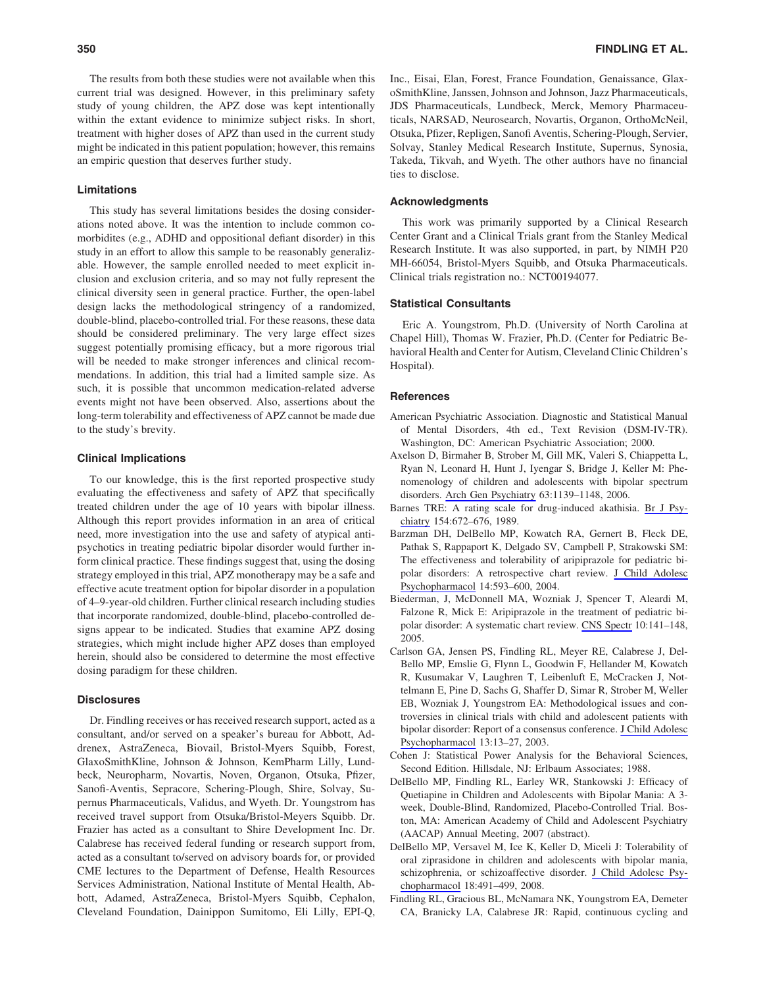The results from both these studies were not available when this current trial was designed. However, in this preliminary safety study of young children, the APZ dose was kept intentionally within the extant evidence to minimize subject risks. In short, treatment with higher doses of APZ than used in the current study might be indicated in this patient population; however, this remains an empiric question that deserves further study.

# Limitations

This study has several limitations besides the dosing considerations noted above. It was the intention to include common comorbidites (e.g., ADHD and oppositional defiant disorder) in this study in an effort to allow this sample to be reasonably generalizable. However, the sample enrolled needed to meet explicit inclusion and exclusion criteria, and so may not fully represent the clinical diversity seen in general practice. Further, the open-label design lacks the methodological stringency of a randomized, double-blind, placebo-controlled trial. For these reasons, these data should be considered preliminary. The very large effect sizes suggest potentially promising efficacy, but a more rigorous trial will be needed to make stronger inferences and clinical recommendations. In addition, this trial had a limited sample size. As such, it is possible that uncommon medication-related adverse events might not have been observed. Also, assertions about the long-term tolerability and effectiveness of APZ cannot be made due to the study's brevity.

# Clinical Implications

To our knowledge, this is the first reported prospective study evaluating the effectiveness and safety of APZ that specifically treated children under the age of 10 years with bipolar illness. Although this report provides information in an area of critical need, more investigation into the use and safety of atypical antipsychotics in treating pediatric bipolar disorder would further inform clinical practice. These findings suggest that, using the dosing strategy employed in this trial, APZ monotherapy may be a safe and effective acute treatment option for bipolar disorder in a population of 4–9-year-old children. Further clinical research including studies that incorporate randomized, double-blind, placebo-controlled designs appear to be indicated. Studies that examine APZ dosing strategies, which might include higher APZ doses than employed herein, should also be considered to determine the most effective dosing paradigm for these children.

# **Disclosures**

Dr. Findling receives or has received research support, acted as a consultant, and/or served on a speaker's bureau for Abbott, Addrenex, AstraZeneca, Biovail, Bristol-Myers Squibb, Forest, GlaxoSmithKline, Johnson & Johnson, KemPharm Lilly, Lundbeck, Neuropharm, Novartis, Noven, Organon, Otsuka, Pfizer, Sanofi-Aventis, Sepracore, Schering-Plough, Shire, Solvay, Supernus Pharmaceuticals, Validus, and Wyeth. Dr. Youngstrom has received travel support from Otsuka/Bristol-Meyers Squibb. Dr. Frazier has acted as a consultant to Shire Development Inc. Dr. Calabrese has received federal funding or research support from, acted as a consultant to/served on advisory boards for, or provided CME lectures to the Department of Defense, Health Resources Services Administration, National Institute of Mental Health, Abbott, Adamed, AstraZeneca, Bristol-Myers Squibb, Cephalon, Cleveland Foundation, Dainippon Sumitomo, Eli Lilly, EPI-Q,

Inc., Eisai, Elan, Forest, France Foundation, Genaissance, GlaxoSmithKline, Janssen, Johnson and Johnson, Jazz Pharmaceuticals, JDS Pharmaceuticals, Lundbeck, Merck, Memory Pharmaceuticals, NARSAD, Neurosearch, Novartis, Organon, OrthoMcNeil, Otsuka, Pfizer, Repligen, Sanofi Aventis, Schering-Plough, Servier, Solvay, Stanley Medical Research Institute, Supernus, Synosia, Takeda, Tikvah, and Wyeth. The other authors have no financial ties to disclose.

#### Acknowledgments

This work was primarily supported by a Clinical Research Center Grant and a Clinical Trials grant from the Stanley Medical Research Institute. It was also supported, in part, by NIMH P20 MH-66054, Bristol-Myers Squibb, and Otsuka Pharmaceuticals. Clinical trials registration no.: NCT00194077.

# Statistical Consultants

Eric A. Youngstrom, Ph.D. (University of North Carolina at Chapel Hill), Thomas W. Frazier, Ph.D. (Center for Pediatric Behavioral Health and Center for Autism, Cleveland Clinic Children's Hospital).

#### References

- American Psychiatric Association. Diagnostic and Statistical Manual of Mental Disorders, 4th ed., Text Revision (DSM-IV-TR). Washington, DC: American Psychiatric Association; 2000.
- Axelson D, Birmaher B, Strober M, Gill MK, Valeri S, Chiappetta L, Ryan N, Leonard H, Hunt J, Iyengar S, Bridge J, Keller M: Phenomenology of children and adolescents with bipolar spectrum disorders. Arch Gen Psychiatry 63:1139–1148, 2006.
- Barnes TRE: A rating scale for drug-induced akathisia. Br J Psychiatry 154:672–676, 1989.
- Barzman DH, DelBello MP, Kowatch RA, Gernert B, Fleck DE, Pathak S, Rappaport K, Delgado SV, Campbell P, Strakowski SM: The effectiveness and tolerability of aripiprazole for pediatric bipolar disorders: A retrospective chart review. J Child Adolesc Psychopharmacol 14:593–600, 2004.
- Biederman, J, McDonnell MA, Wozniak J, Spencer T, Aleardi M, Falzone R, Mick E: Aripiprazole in the treatment of pediatric bipolar disorder: A systematic chart review. CNS Spectr 10:141–148, 2005.
- Carlson GA, Jensen PS, Findling RL, Meyer RE, Calabrese J, Del-Bello MP, Emslie G, Flynn L, Goodwin F, Hellander M, Kowatch R, Kusumakar V, Laughren T, Leibenluft E, McCracken J, Nottelmann E, Pine D, Sachs G, Shaffer D, Simar R, Strober M, Weller EB, Wozniak J, Youngstrom EA: Methodological issues and controversies in clinical trials with child and adolescent patients with bipolar disorder: Report of a consensus conference. J Child Adolesc Psychopharmacol 13:13–27, 2003.
- Cohen J: Statistical Power Analysis for the Behavioral Sciences, Second Edition. Hillsdale, NJ: Erlbaum Associates; 1988.
- DelBello MP, Findling RL, Earley WR, Stankowski J: Efficacy of Quetiapine in Children and Adolescents with Bipolar Mania: A 3 week, Double-Blind, Randomized, Placebo-Controlled Trial. Boston, MA: American Academy of Child and Adolescent Psychiatry (AACAP) Annual Meeting, 2007 (abstract).
- DelBello MP, Versavel M, Ice K, Keller D, Miceli J: Tolerability of oral ziprasidone in children and adolescents with bipolar mania, schizophrenia, or schizoaffective disorder. J Child Adolesc Psychopharmacol 18:491–499, 2008.
- Findling RL, Gracious BL, McNamara NK, Youngstrom EA, Demeter CA, Branicky LA, Calabrese JR: Rapid, continuous cycling and